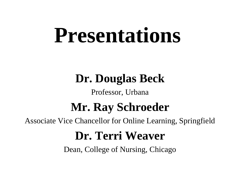# **Presentations**

#### **Dr. Douglas Beck**

#### Professor, Urbana

#### **Mr. Ray Schroeder**

Associate Vice Chancellor for Online Learning, Springfield

#### **Dr. Terri Weaver**

Dean, College of Nursing, Chicago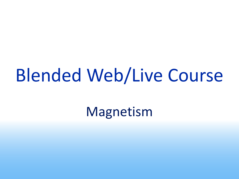# Blended Web/Live Course

Magnetism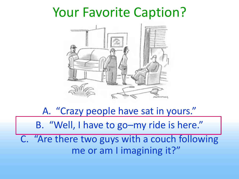#### Your Favorite Caption?



A. "Crazy people have sat in yours." B. "Well, I have to go–my ride is here." C. "Are there two guys with a couch following me or am I imagining it?"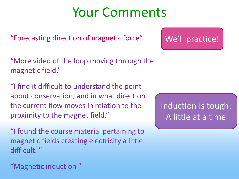### Your Comments

"Forecasting direction of magnetic force"

"More video of the loop moving through the magnetic field."

"I find it difficult to understand the point about conservation, and in what direction the current flow moves in relation to the proximity to the magnet field."

"I found the course material pertaining to magnetic fields creating electricity a little difficult. "

"Magnetic induction "

Induction is tough: A little at a time

We'll practice!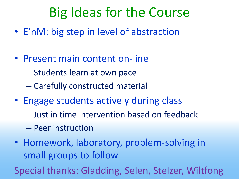# Big Ideas for the Course

- E'nM: big step in level of abstraction
- Present main content on-line
	- Students learn at own pace
	- Carefully constructed material
- Engage students actively during class
	- Just in time intervention based on feedback
	- Peer instruction
- Homework, laboratory, problem-solving in small groups to follow

Special thanks: Gladding, Selen, Stelzer, Wiltfong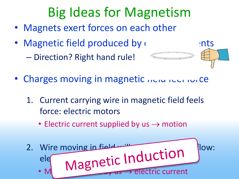# Big Ideas for Magnetism

- Magnets exert forces on each other
- Magnetic field produced by electric currents

– Direction? Right hand rule!



- Charges moving in magnetic netwo reen rule
	- 1. Current carrying wire in magnetic field feels force: electric motors
		- Electric current supplied by  $us \rightarrow motion$

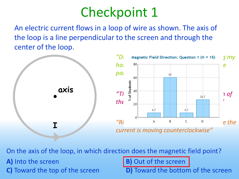## Checkpoint 1

An electric current flows in a loop of wire as shown. The axis of the loop is a line perpendicular to the screen and through the center of the loop.



On the axis of the loop, in which direction does the magnetic field point?

**A)** Into the screen **B**) Out of the screen

**C)** Toward the top of the screen **D**) Toward the bottom of the screen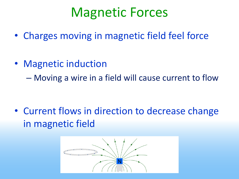## Magnetic Forces

- Charges moving in magnetic field feel force
- Magnetic induction – Moving a wire in a field will cause current to flow

• Current flows in direction to decrease change in magnetic field

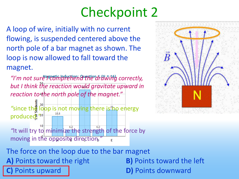# Checkpoint 2

A loop of wire, initially with no current flowing, is suspended centered above the north pole of a bar magnet as shown. The loop is now allowed to fall toward the magnet.

*"I'm not sure I comprehend the drawing correctly, but I think the reaction would gravitate upward in reaction to the north pole of the magnet."*

<sup>2</sup> <sup>30</sup> since the loop is not moving there is<sup>2</sup>ho energy produced<sup>2</sup><sup>20</sup>

 $10$ "It will try to minimize the strength of the force by moving in the opposite direction.*"*



The force on the loop due to the bar magnet **A)** Points toward the right **B)** Points toward the left Points upward **D**) Points downward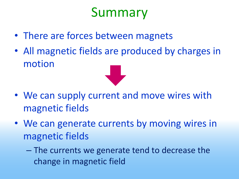# Summary

- There are forces between magnets
- All magnetic fields are produced by charges in motion



- We can supply current and move wires with magnetic fields
- We can generate currents by moving wires in magnetic fields
	- The currents we generate tend to decrease the change in magnetic field